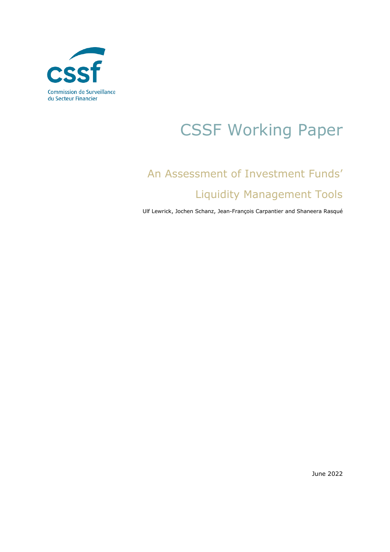

# CSSF Working Paper

# An Assessment of Investment Funds' Liquidity Management Tools

Ulf Lewrick, Jochen Schanz, Jean-François Carpantier and Shaneera Rasqué

June 2022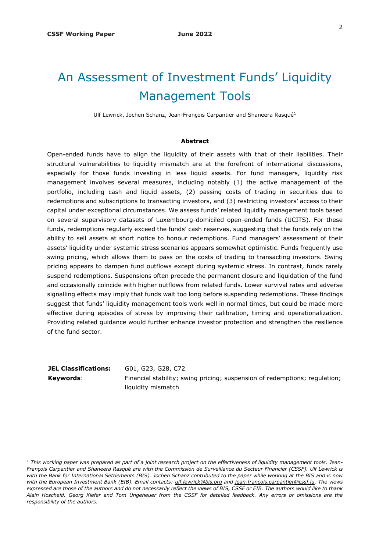# An Assessment of Investment Funds' Liquidity Management Tools

Ulf Lewrick, Jochen Schanz, Jean-François Carpantier and Shaneera Rasqué<sup>1</sup>

#### **Abstract**

Open-ended funds have to align the liquidity of their assets with that of their liabilities. Their structural vulnerabilities to liquidity mismatch are at the forefront of international discussions, especially for those funds investing in less liquid assets. For fund managers, liquidity risk management involves several measures, including notably (1) the active management of the portfolio, including cash and liquid assets, (2) passing costs of trading in securities due to redemptions and subscriptions to transacting investors, and (3) restricting investors' access to their capital under exceptional circumstances. We assess funds' related liquidity management tools based on several supervisory datasets of Luxembourg-domiciled open-ended funds (UCITS). For these funds, redemptions regularly exceed the funds' cash reserves, suggesting that the funds rely on the ability to sell assets at short notice to honour redemptions. Fund managers' assessment of their assets' liquidity under systemic stress scenarios appears somewhat optimistic. Funds frequently use swing pricing, which allows them to pass on the costs of trading to transacting investors. Swing pricing appears to dampen fund outflows except during systemic stress. In contrast, funds rarely suspend redemptions. Suspensions often precede the permanent closure and liquidation of the fund and occasionally coincide with higher outflows from related funds. Lower survival rates and adverse signalling effects may imply that funds wait too long before suspending redemptions. These findings suggest that funds' liquidity management tools work well in normal times, but could be made more effective during episodes of stress by improving their calibration, timing and operationalization. Providing related guidance would further enhance investor protection and strengthen the resilience of the fund sector.

**JEL Classifications:** G01, G23, G28, C72

-

**Keywords:** Financial stability; swing pricing; suspension of redemptions; regulation; liquidity mismatch

*<sup>1</sup> This working paper was prepared as part of a joint research project on the effectiveness of liquidity management tools. Jean-François Carpantier and Shaneera Rasqué are with the Commission de Surveillance du Secteur Financier (CSSF). Ulf Lewrick is with the Bank for International Settlements (BIS). Jochen Schanz contributed to the paper while working at the BIS and is now with the European Investment Bank (EIB). Email contacts: [ulf.lewrick@bis.org](mailto:ulf.lewrick@bis.org) an[d jean-francois.carpantier@cssf.lu.](mailto:jeanfrancois.carpantier@cssf.lu) The views expressed are those of the authors and do not necessarily reflect the views of BIS, CSSF or EIB. The authors would like to thank Alain Hoscheid, Georg Kiefer and Tom Ungeheuer from the CSSF for detailed feedback. Any errors or omissions are the responsibility of the authors.*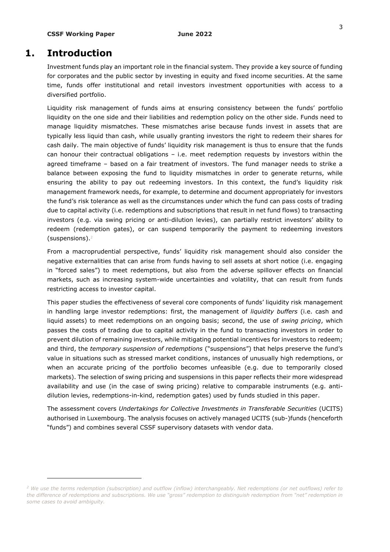# **1. Introduction**

-

Investment funds play an important role in the financial system. They provide a key source of funding for corporates and the public sector by investing in equity and fixed income securities. At the same time, funds offer institutional and retail investors investment opportunities with access to a diversified portfolio.

Liquidity risk management of funds aims at ensuring consistency between the funds' portfolio liquidity on the one side and their liabilities and redemption policy on the other side. Funds need to manage liquidity mismatches. These mismatches arise because funds invest in assets that are typically less liquid than cash, while usually granting investors the right to redeem their shares for cash daily. The main objective of funds' liquidity risk management is thus to ensure that the funds can honour their contractual obligations – i.e. meet redemption requests by investors within the agreed timeframe – based on a fair treatment of investors. The fund manager needs to strike a balance between exposing the fund to liquidity mismatches in order to generate returns, while ensuring the ability to pay out redeeming investors. In this context, the fund's liquidity risk management framework needs, for example, to determine and document appropriately for investors the fund's risk tolerance as well as the circumstances under which the fund can pass costs of trading due to capital activity (i.e. redemptions and subscriptions that result in net fund flows) to transacting investors (e.g. via swing pricing or anti-dilution levies), can partially restrict investors' ability to redeem (redemption gates), or can suspend temporarily the payment to redeeming investors (suspensions). 2

From a macroprudential perspective, funds' liquidity risk management should also consider the negative externalities that can arise from funds having to sell assets at short notice (i.e. engaging in "forced sales") to meet redemptions, but also from the adverse spillover effects on financial markets, such as increasing system-wide uncertainties and volatility, that can result from funds restricting access to investor capital.

This paper studies the effectiveness of several core components of funds' liquidity risk management in handling large investor redemptions: first, the management of *liquidity buffers* (i.e. cash and liquid assets) to meet redemptions on an ongoing basis; second, the use of *swing pricing*, which passes the costs of trading due to capital activity in the fund to transacting investors in order to prevent dilution of remaining investors, while mitigating potential incentives for investors to redeem; and third, the *temporary suspension of redemptions* ("suspensions") that helps preserve the fund's value in situations such as stressed market conditions, instances of unusually high redemptions, or when an accurate pricing of the portfolio becomes unfeasible (e.g. due to temporarily closed markets). The selection of swing pricing and suspensions in this paper reflects their more widespread availability and use (in the case of swing pricing) relative to comparable instruments (e.g. antidilution levies, redemptions-in-kind, redemption gates) used by funds studied in this paper.

The assessment covers *Undertakings for Collective Investments in Transferable Securities* (UCITS) authorised in Luxembourg. The analysis focuses on actively managed UCITS (sub-)funds (henceforth "funds") and combines several CSSF supervisory datasets with vendor data.

*<sup>2</sup> We use the terms redemption (subscription) and outflow (inflow) interchangeably. Net redemptions (or net outflows) refer to the difference of redemptions and subscriptions. We use "gross" redemption to distinguish redemption from "net" redemption in some cases to avoid ambiguity.*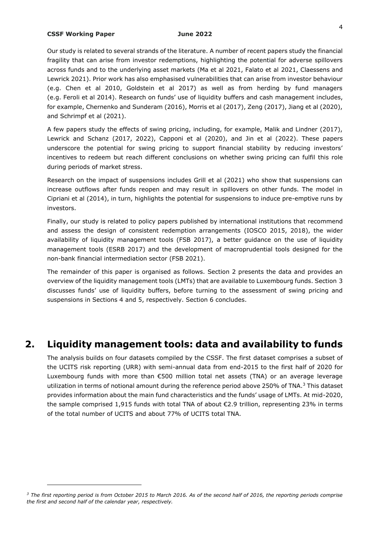-

Our study is related to several strands of the literature. A number of recent papers study the financial fragility that can arise from investor redemptions, highlighting the potential for adverse spillovers across funds and to the underlying asset markets (Ma et al 2021, Falato et al 2021, Claessens and Lewrick 2021). Prior work has also emphasised vulnerabilities that can arise from investor behaviour (e.g. Chen et al 2010, Goldstein et al 2017) as well as from herding by fund managers (e.g. Feroli et al 2014). Research on funds' use of liquidity buffers and cash management includes, for example, Chernenko and Sunderam (2016), Morris et al (2017), Zeng (2017), Jiang et al (2020), and Schrimpf et al (2021).

A few papers study the effects of swing pricing, including, for example, Malik and Lindner (2017), Lewrick and Schanz (2017, 2022), Capponi et al (2020), and Jin et al (2022). These papers underscore the potential for swing pricing to support financial stability by reducing investors' incentives to redeem but reach different conclusions on whether swing pricing can fulfil this role during periods of market stress.

Research on the impact of suspensions includes Grill et al (2021) who show that suspensions can increase outflows after funds reopen and may result in spillovers on other funds. The model in Cipriani et al (2014), in turn, highlights the potential for suspensions to induce pre-emptive runs by investors.

Finally, our study is related to policy papers published by international institutions that recommend and assess the design of consistent redemption arrangements (IOSCO 2015, 2018), the wider availability of liquidity management tools (FSB 2017), a better guidance on the use of liquidity management tools (ESRB 2017) and the development of macroprudential tools designed for the non-bank financial intermediation sector (FSB 2021).

The remainder of this paper is organised as follows. Section 2 presents the data and provides an overview of the liquidity management tools (LMTs) that are available to Luxembourg funds. Section 3 discusses funds' use of liquidity buffers, before turning to the assessment of swing pricing and suspensions in Sections 4 and 5, respectively. Section 6 concludes.

# **2. Liquidity management tools: data and availability to funds**

The analysis builds on four datasets compiled by the CSSF. The first dataset comprises a subset of the UCITS risk reporting (URR) with semi-annual data from end-2015 to the first half of 2020 for Luxembourg funds with more than €500 million total net assets (TNA) or an average leverage utilization in terms of notional amount during the reference period above 250% of TNA.<sup>3</sup> This dataset provides information about the main fund characteristics and the funds' usage of LMTs. At mid-2020, the sample comprised 1,915 funds with total TNA of about €2.9 trillion, representing 23% in terms of the total number of UCITS and about 77% of UCITS total TNA.

*<sup>3</sup> The first reporting period is from October 2015 to March 2016. As of the second half of 2016, the reporting periods comprise the first and second half of the calendar year, respectively.*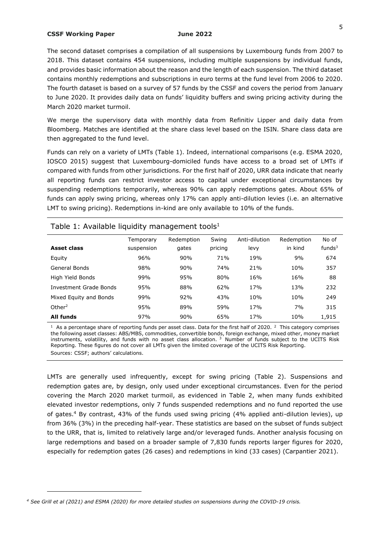The second dataset comprises a compilation of all suspensions by Luxembourg funds from 2007 to 2018. This dataset contains 454 suspensions, including multiple suspensions by individual funds, and provides basic information about the reason and the length of each suspension. The third dataset contains monthly redemptions and subscriptions in euro terms at the fund level from 2006 to 2020. The fourth dataset is based on a survey of 57 funds by the CSSF and covers the period from January to June 2020. It provides daily data on funds' liquidity buffers and swing pricing activity during the March 2020 market turmoil.

We merge the supervisory data with monthly data from Refinitiv Lipper and daily data from Bloomberg. Matches are identified at the share class level based on the ISIN. Share class data are then aggregated to the fund level.

Funds can rely on a variety of LMTs (Table 1). Indeed, international comparisons (e.g. ESMA 2020, IOSCO 2015) suggest that Luxembourg-domiciled funds have access to a broad set of LMTs if compared with funds from other jurisdictions. For the first half of 2020, URR data indicate that nearly all reporting funds can restrict investor access to capital under exceptional circumstances by suspending redemptions temporarily, whereas 90% can apply redemptions gates. About 65% of funds can apply swing pricing, whereas only 17% can apply anti-dilution levies (i.e. an alternative LMT to swing pricing). Redemptions in-kind are only available to 10% of the funds.

| Table 1: Available liquidity management tools <sup>1</sup> |            |            |         |                 |            |                    |  |
|------------------------------------------------------------|------------|------------|---------|-----------------|------------|--------------------|--|
|                                                            | Temporary  | Redemption | Swing   | Anti-dilution   | Redemption | No of              |  |
| Asset class                                                | suspension | gates      | pricing | levy            | in kind    | funds <sup>3</sup> |  |
| Equity                                                     | 96%        | 90%        | 71%     | 19%             | 9%         | 674                |  |
| General Bonds                                              | 98%        | 90%        | 74%     | 21%             | 10%        | 357                |  |
| High Yield Bonds                                           | 99%        | 95%        | 80%     | 16%             | 16%        | 88                 |  |
| Investment Grade Bonds                                     | 95%        | 88%        | 62%     | 17%             | 13%        | 232                |  |
| Mixed Equity and Bonds                                     | 99%        | 92%        | 43%     | 10%             | 10%        | 249                |  |
| Other <sup>2</sup>                                         | 95%        | 89%        | 59%     | 17 <sub>%</sub> | 7%         | 315                |  |
| All funds                                                  | 97%        | 90%        | 65%     | 17%             | 10%        | 1,915              |  |

<sup>1</sup> As a percentage share of reporting funds per asset class. Data for the first half of 2020.<sup>2</sup> This category comprises the following asset classes: ABS/MBS, commodities, convertible bonds, foreign exchange, mixed other, money market instruments, volatility, and funds with no asset class allocation.  $3$  Number of funds subject to the UCITS Risk Reporting. These figures do not cover all LMTs given the limited coverage of the UCITS Risk Reporting. Sources: CSSF; authors' calculations.

LMTs are generally used infrequently, except for swing pricing (Table 2). Suspensions and redemption gates are, by design, only used under exceptional circumstances. Even for the period covering the March 2020 market turmoil, as evidenced in Table 2, when many funds exhibited elevated investor redemptions, only 7 funds suspended redemptions and no fund reported the use of gates.<sup>4</sup> By contrast, 43% of the funds used swing pricing (4% applied anti-dilution levies), up from 36% (3%) in the preceding half-year. These statistics are based on the subset of funds subject to the URR, that is, limited to relatively large and/or leveraged funds. Another analysis focusing on large redemptions and based on a broader sample of 7,830 funds reports larger figures for 2020, especially for redemption gates (26 cases) and redemptions in kind (33 cases) (Carpantier 2021).

-

*<sup>4</sup> See Grill et al (2021) and ESMA (2020) for more detailed studies on suspensions during the COVID-19 crisis.*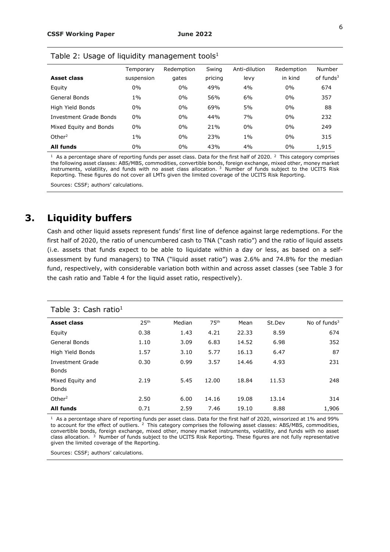|                        | Temporary  | Redemption | Swing   | Anti-dilution | Redemption | Number       |
|------------------------|------------|------------|---------|---------------|------------|--------------|
| Asset class            | suspension | gates      | pricing | levy          | in kind    | of funds $3$ |
| Equity                 | $0\%$      | $0\%$      | 49%     | 4%            | $0\%$      | 674          |
| General Bonds          | $1\%$      | $0\%$      | 56%     | 6%            | $0\%$      | 357          |
| High Yield Bonds       | $0\%$      | $0\%$      | 69%     | 5%            | $0\%$      | 88           |
| Investment Grade Bonds | 0%         | $0\%$      | 44%     | 7%            | $0\%$      | 232          |
| Mixed Equity and Bonds | 0%         | $0\%$      | 21%     | $0\%$         | $0\%$      | 249          |
| Other <sup>2</sup>     | $1\%$      | $0\%$      | 23%     | $1\%$         | $0\%$      | 315          |
| All funds              | $0\%$      | 0%         | 43%     | 4%            | $0\%$      | 1,915        |

Table 2: Usage of liquidity management tools<sup>1</sup>

<sup>1</sup> As a percentage share of reporting funds per asset class. Data for the first half of 2020.<sup>2</sup> This category comprises the following asset classes: ABS/MBS, commodities, convertible bonds, foreign exchange, mixed other, money market instruments, volatility, and funds with no asset class allocation.  $3$  Number of funds subject to the UCITS Risk Reporting. These figures do not cover all LMTs given the limited coverage of the UCITS Risk Reporting.

Sources: CSSF; authors' calculations.

# **3. Liquidity buffers**

Cash and other liquid assets represent funds' first line of defence against large redemptions. For the first half of 2020, the ratio of unencumbered cash to TNA ("cash ratio") and the ratio of liquid assets (i.e. assets that funds expect to be able to liquidate within a day or less, as based on a selfassessment by fund managers) to TNA ("liquid asset ratio") was 2.6% and 74.8% for the median fund, respectively, with considerable variation both within and across asset classes (see Table 3 for the cash ratio and Table 4 for the liquid asset ratio, respectively).

| Table 3: Cash ratio <sup>1</sup> |                  |        |                  |       |        |                 |
|----------------------------------|------------------|--------|------------------|-------|--------|-----------------|
| <b>Asset class</b>               | 25 <sup>th</sup> | Median | 75 <sup>th</sup> | Mean  | St.Dev | No of funds $3$ |
| Equity                           | 0.38             | 1.43   | 4.21             | 22.33 | 8.59   | 674             |
| General Bonds                    | 1.10             | 3.09   | 6.83             | 14.52 | 6.98   | 352             |
| High Yield Bonds                 | 1.57             | 3.10   | 5.77             | 16.13 | 6.47   | 87              |
| Investment Grade                 | 0.30             | 0.99   | 3.57             | 14.46 | 4.93   | 231             |
| <b>Bonds</b>                     |                  |        |                  |       |        |                 |
| Mixed Equity and                 | 2.19             | 5.45   | 12.00            | 18.84 | 11.53  | 248             |
| <b>Bonds</b>                     |                  |        |                  |       |        |                 |
| Other $2$                        | 2.50             | 6.00   | 14.16            | 19.08 | 13.14  | 314             |
| <b>All funds</b>                 | 0.71             | 2.59   | 7.46             | 19.10 | 8.88   | 1,906           |

<sup>1</sup> As a percentage share of reporting funds per asset class. Data for the first half of 2020, winsorized at 1% and 99% to account for the effect of outliers.<sup>2</sup> This category comprises the following asset classes: ABS/MBS, commodities, convertible bonds, foreign exchange, mixed other, money market instruments, volatility, and funds with no asset class allocation.<sup>3</sup> Number of funds subject to the UCITS Risk Reporting. These figures are not fully representative given the limited coverage of the Reporting.

Sources: CSSF; authors' calculations.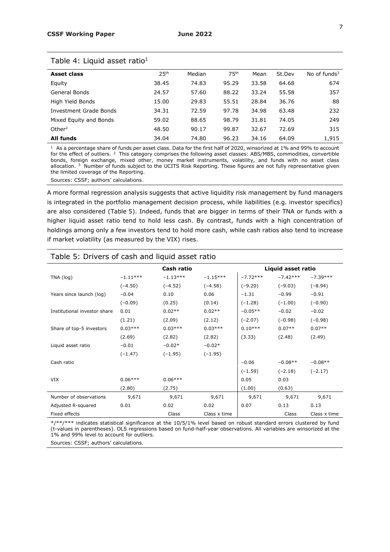| Asset class                   | 25 <sup>th</sup> | Median | 75 <sup>th</sup> | Mean  | St.Dev | No of funds $3$ |
|-------------------------------|------------------|--------|------------------|-------|--------|-----------------|
| Equity                        | 38.45            | 74.83  | 95.29            | 33.58 | 64.68  | 674             |
| General Bonds                 | 24.57            | 57.60  | 88.22            | 33.24 | 55.58  | 357             |
| High Yield Bonds              | 15.00            | 29.83  | 55.51            | 28.84 | 36.76  | 88              |
| <b>Investment Grade Bonds</b> | 34.31            | 72.59  | 97.78            | 34.98 | 63.48  | 232             |
| Mixed Equity and Bonds        | 59.02            | 88.65  | 98.79            | 31.81 | 74.05  | 249             |
| Other $2$                     | 48.50            | 90.17  | 99.87            | 32.67 | 72.69  | 315             |
| All funds                     | 34.04            | 74.80  | 96.23            | 34.16 | 64.09  | 1,915           |
|                               |                  |        |                  |       |        |                 |

#### Table 4: Liquid asset ratio<sup>1</sup>

 $1$  As a percentage share of funds per asset class. Data for the first half of 2020, winsorized at 1% and 99% to account for the effect of outliers.<sup>2</sup> This category comprises the following asset classes: ABS/MBS, commodities, convertible bonds, foreign exchange, mixed other, money market instruments, volatility, and funds with no asset class allocation.  $3\text{ Number of funds subject to the UCITS Risk Reporting. These figures are not fully representative given}$ the limited coverage of the Reporting.

Sources: CSSF; authors' calculations.

A more formal regression analysis suggests that active liquidity risk management by fund managers is integrated in the portfolio management decision process, while liabilities (e.g. investor specifics) are also considered (Table 5). Indeed, funds that are bigger in terms of their TNA or funds with a higher liquid asset ratio tend to hold less cash. By contrast, funds with a high concentration of holdings among only a few investors tend to hold more cash, while cash ratios also tend to increase if market volatility (as measured by the VIX) rises.

# Table 5: Drivers of cash and liquid asset ratio **Cash ratio Liquid asset ratio**

|                              |            | casn ratio |              |            | Liquid asset ratio |              |
|------------------------------|------------|------------|--------------|------------|--------------------|--------------|
| TNA (log)                    | $-1.11***$ | $-1.13***$ | $-1.15***$   | $-7.72***$ | $-7.42***$         | $-7.39***$   |
|                              | $(-4.50)$  | $(-4.52)$  | $(-4.58)$    | $(-9.20)$  | $(-9.03)$          | $(-8.94)$    |
| Years since launch (log)     | $-0.04$    | 0.10       | 0.06         | $-1.31$    | $-0.99$            | $-0.91$      |
|                              | $(-0.09)$  | (0.25)     | (0.14)       | $(-1.28)$  | $(-1.00)$          | $(-0.90)$    |
| Institutional investor share | 0.01       | $0.02**$   | $0.02**$     | $-0.05**$  | $-0.02$            | $-0.02$      |
|                              | (1.21)     | (2.09)     | (2.12)       | $(-2.07)$  | $(-0.98)$          | $(-0.98)$    |
| Share of top-5 investors     | $0.03***$  | $0.03***$  | $0.03***$    | $0.10***$  | $0.07**$           | $0.07**$     |
|                              | (2.69)     | (2.82)     | (2.82)       | (3.33)     | (2.48)             | (2.49)       |
| Liquid asset ratio           | $-0.01$    | $-0.02*$   | $-0.02*$     |            |                    |              |
|                              | $(-1.47)$  | $(-1.95)$  | $(-1.95)$    |            |                    |              |
| Cash ratio                   |            |            |              | $-0.06$    | $-0.08**$          | $-0.08**$    |
|                              |            |            |              | $(-1.59)$  | $(-2.18)$          | $(-2.17)$    |
| VIX                          | $0.06***$  | $0.06***$  |              | 0.05       | 0.03               |              |
|                              | (2.80)     | (2.75)     |              | (1.00)     | (0.63)             |              |
| Number of observations       | 9,671      | 9,671      | 9,671        | 9,671      | 9,671              | 9,671        |
| Adjusted R-squared           | 0.01       | 0.02       | 0.02         | 0.07       | 0.13               | 0.13         |
| Fixed effects                |            | Class      | Class x time |            | Class              | Class x time |

\*/\*\*/\*\*\* indicates statistical significance at the 10/5/1% level based on robust standard errors clustered by fund (t-values in parentheses). OLS regressions based on fund-half-year observations. All variables are winsorized at the 1% and 99% level to account for outliers.

Sources: CSSF; authors' calculations.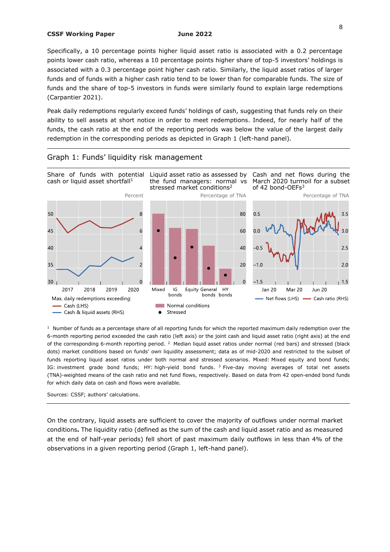Specifically, a 10 percentage points higher liquid asset ratio is associated with a 0.2 percentage points lower cash ratio, whereas a 10 percentage points higher share of top-5 investors' holdings is associated with a 0.3 percentage point higher cash ratio. Similarly, the liquid asset ratios of larger funds and of funds with a higher cash ratio tend to be lower than for comparable funds. The size of funds and the share of top-5 investors in funds were similarly found to explain large redemptions (Carpantier 2021).

Peak daily redemptions regularly exceed funds' holdings of cash, suggesting that funds rely on their ability to sell assets at short notice in order to meet redemptions. Indeed, for nearly half of the funds, the cash ratio at the end of the reporting periods was below the value of the largest daily redemption in the corresponding periods as depicted in Graph 1 (left-hand panel).



### Graph 1: Funds' liquidity risk management

 $1$  Number of funds as a percentage share of all reporting funds for which the reported maximum daily redemption over the 6-month reporting period exceeded the cash ratio (left axis) or the joint cash and liquid asset ratio (right axis) at the end of the corresponding 6-month reporting period.<sup>2</sup> Median liquid asset ratios under normal (red bars) and stressed (black dots) market conditions based on funds' own liquidity assessment; data as of mid-2020 and restricted to the subset of funds reporting liquid asset ratios under both normal and stressed scenarios. Mixed: Mixed equity and bond funds; IG: investment grade bond funds; HY: high-yield bond funds. <sup>3</sup> Five-day moving averages of total net assets (TNA)-weighted means of the cash ratio and net fund flows, respectively. Based on data from 42 open-ended bond funds for which daily data on cash and flows were available.

Sources: CSSF; authors' calculations.

On the contrary, liquid assets are sufficient to cover the majority of outflows under normal market conditions**.** The liquidity ratio (defined as the sum of the cash and liquid asset ratio and as measured at the end of half-year periods) fell short of past maximum daily outflows in less than 4% of the observations in a given reporting period (Graph 1, left-hand panel).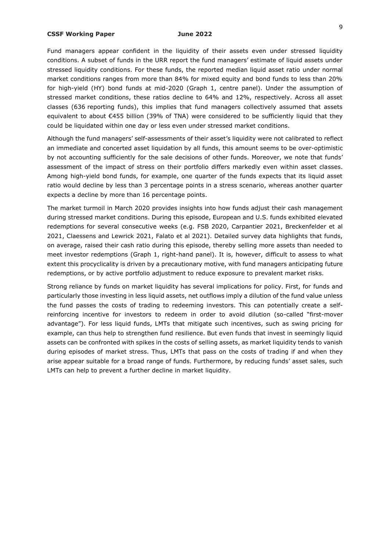Fund managers appear confident in the liquidity of their assets even under stressed liquidity conditions. A subset of funds in the URR report the fund managers' estimate of liquid assets under stressed liquidity conditions. For these funds, the reported median liquid asset ratio under normal market conditions ranges from more than 84% for mixed equity and bond funds to less than 20% for high-yield (HY) bond funds at mid-2020 (Graph 1, centre panel). Under the assumption of stressed market conditions, these ratios decline to 64% and 12%, respectively. Across all asset classes (636 reporting funds), this implies that fund managers collectively assumed that assets equivalent to about €455 billion (39% of TNA) were considered to be sufficiently liquid that they could be liquidated within one day or less even under stressed market conditions.

Although the fund managers' self-assessments of their asset's liquidity were not calibrated to reflect an immediate and concerted asset liquidation by all funds, this amount seems to be over-optimistic by not accounting sufficiently for the sale decisions of other funds. Moreover, we note that funds' assessment of the impact of stress on their portfolio differs markedly even within asset classes. Among high-yield bond funds, for example, one quarter of the funds expects that its liquid asset ratio would decline by less than 3 percentage points in a stress scenario, whereas another quarter expects a decline by more than 16 percentage points.

The market turmoil in March 2020 provides insights into how funds adjust their cash management during stressed market conditions. During this episode, European and U.S. funds exhibited elevated redemptions for several consecutive weeks (e.g. FSB 2020, Carpantier 2021, Breckenfelder et al 2021, Claessens and Lewrick 2021, Falato et al 2021). Detailed survey data highlights that funds, on average, raised their cash ratio during this episode, thereby selling more assets than needed to meet investor redemptions (Graph 1, right-hand panel). It is, however, difficult to assess to what extent this procyclicality is driven by a precautionary motive, with fund managers anticipating future redemptions, or by active portfolio adjustment to reduce exposure to prevalent market risks.

Strong reliance by funds on market liquidity has several implications for policy. First, for funds and particularly those investing in less liquid assets, net outflows imply a dilution of the fund value unless the fund passes the costs of trading to redeeming investors. This can potentially create a selfreinforcing incentive for investors to redeem in order to avoid dilution (so-called "first-mover advantage"). For less liquid funds, LMTs that mitigate such incentives, such as swing pricing for example, can thus help to strengthen fund resilience. But even funds that invest in seemingly liquid assets can be confronted with spikes in the costs of selling assets, as market liquidity tends to vanish during episodes of market stress. Thus, LMTs that pass on the costs of trading if and when they arise appear suitable for a broad range of funds. Furthermore, by reducing funds' asset sales, such LMTs can help to prevent a further decline in market liquidity.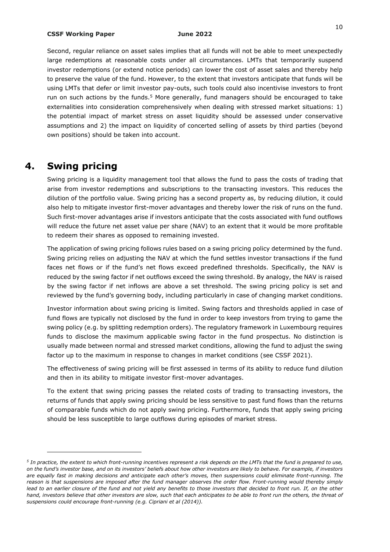#### **CSSF Working Paper June 2022**

Second, regular reliance on asset sales implies that all funds will not be able to meet unexpectedly large redemptions at reasonable costs under all circumstances. LMTs that temporarily suspend investor redemptions (or extend notice periods) can lower the cost of asset sales and thereby help to preserve the value of the fund. However, to the extent that investors anticipate that funds will be using LMTs that defer or limit investor pay-outs, such tools could also incentivise investors to front run on such actions by the funds.<sup>5</sup> More generally, fund managers should be encouraged to take externalities into consideration comprehensively when dealing with stressed market situations: 1) the potential impact of market stress on asset liquidity should be assessed under conservative assumptions and 2) the impact on liquidity of concerted selling of assets by third parties (beyond own positions) should be taken into account.

# **4. Swing pricing**

-

Swing pricing is a liquidity management tool that allows the fund to pass the costs of trading that arise from investor redemptions and subscriptions to the transacting investors. This reduces the dilution of the portfolio value. Swing pricing has a second property as, by reducing dilution, it could also help to mitigate investor first-mover advantages and thereby lower the risk of runs on the fund. Such first-mover advantages arise if investors anticipate that the costs associated with fund outflows will reduce the future net asset value per share (NAV) to an extent that it would be more profitable to redeem their shares as opposed to remaining invested.

The application of swing pricing follows rules based on a swing pricing policy determined by the fund. Swing pricing relies on adjusting the NAV at which the fund settles investor transactions if the fund faces net flows or if the fund's net flows exceed predefined thresholds. Specifically, the NAV is reduced by the swing factor if net outflows exceed the swing threshold. By analogy, the NAV is raised by the swing factor if net inflows are above a set threshold. The swing pricing policy is set and reviewed by the fund's governing body, including particularly in case of changing market conditions.

Investor information about swing pricing is limited. Swing factors and thresholds applied in case of fund flows are typically not disclosed by the fund in order to keep investors from trying to game the swing policy (e.g. by splitting redemption orders). The regulatory framework in Luxembourg requires funds to disclose the maximum applicable swing factor in the fund prospectus. No distinction is usually made between normal and stressed market conditions, allowing the fund to adjust the swing factor up to the maximum in response to changes in market conditions (see CSSF 2021).

The effectiveness of swing pricing will be first assessed in terms of its ability to reduce fund dilution and then in its ability to mitigate investor first-mover advantages.

To the extent that swing pricing passes the related costs of trading to transacting investors, the returns of funds that apply swing pricing should be less sensitive to past fund flows than the returns of comparable funds which do not apply swing pricing. Furthermore, funds that apply swing pricing should be less susceptible to large outflows during episodes of market stress.

*<sup>5</sup> In practice, the extent to which front-running incentives represent a risk depends on the LMTs that the fund is prepared to use, on the fund's investor base, and on its investors' beliefs about how other investors are likely to behave. For example, if investors are equally fast in making decisions and anticipate each other's moves, then suspensions could eliminate front-running. The reason is that suspensions are imposed after the fund manager observes the order flow. Front-running would thereby simply*  lead to an earlier closure of the fund and not yield any benefits to those investors that decided to front run. If, on the other *hand, investors believe that other investors are slow, such that each anticipates to be able to front run the others, the threat of suspensions could encourage front-running (e.g. Cipriani et al (2014)).*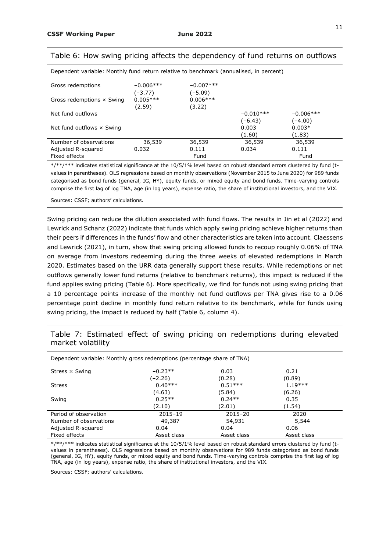### Table 6: How swing pricing affects the dependency of fund returns on outflows

Dependent variable: Monthly fund return relative to benchmark (annualised, in percent)

| Gross redemptions                | $-0.006$ *** | $-0.007$ *** |             |             |  |
|----------------------------------|--------------|--------------|-------------|-------------|--|
|                                  | (–3.77)      | (–5.09)      |             |             |  |
| Gross redemptions $\times$ Swing | $0.005***$   | $0.006***$   |             |             |  |
|                                  | (2.59)       | (3.22)       |             |             |  |
| Net fund outflows                |              |              | $-0.010***$ | $-0.006***$ |  |
|                                  |              |              | (–6.43)     | $(-4.00)$   |  |
| Net fund outflows $\times$ Swing |              |              | 0.003       | $0.003*$    |  |
|                                  |              |              | (1.60)      | (1.83)      |  |
| Number of observations           | 36,539       | 36,539       | 36,539      | 36,539      |  |
| Adjusted R-squared               | 0.032        | 0.111        | 0.034       | 0.111       |  |
| Fixed effects                    |              | Fund         |             | Fund        |  |

\*/\*\*/\*\*\* indicates statistical significance at the 10/5/1% level based on robust standard errors clustered by fund (tvalues in parentheses). OLS regressions based on monthly observations (November 2015 to June 2020) for 989 funds categorised as bond funds (general, IG, HY), equity funds, or mixed equity and bond funds. Time-varying controls comprise the first lag of log TNA, age (in log years), expense ratio, the share of institutional investors, and the VIX.

Sources: CSSF; authors' calculations.

Swing pricing can reduce the dilution associated with fund flows. The results in Jin et al (2022) and Lewrick and Schanz (2022) indicate that funds which apply swing pricing achieve higher returns than their peers if differences in the funds' flow and other characteristics are taken into account. Claessens and Lewrick (2021), in turn, show that swing pricing allowed funds to recoup roughly 0.06% of TNA on average from investors redeeming during the three weeks of elevated redemptions in March 2020. Estimates based on the URR data generally support these results. While redemptions or net outflows generally lower fund returns (relative to benchmark returns), this impact is reduced if the fund applies swing pricing (Table 6). More specifically, we find for funds not using swing pricing that a 10 percentage points increase of the monthly net fund outflows per TNA gives rise to a 0.06 percentage point decline in monthly fund return relative to its benchmark, while for funds using swing pricing, the impact is reduced by half (Table 6, column 4).

# Table 7: Estimated effect of swing pricing on redemptions during elevated market volatility

| Dependent variable: Monthly gross redemptions (percentage share of TNA) |             |             |             |  |
|-------------------------------------------------------------------------|-------------|-------------|-------------|--|
| Stress $\times$ Swing                                                   | $-0.23**$   | 0.03        | 0.21        |  |
|                                                                         | (–2.26)     | (0.28)      | (0.89)      |  |
| <b>Stress</b>                                                           | $0.40***$   | $0.51***$   | $1.19***$   |  |
|                                                                         | (4.63)      | (5.84)      | (6.26)      |  |
| Swing                                                                   | $0.25**$    | $0.24**$    | 0.35        |  |
|                                                                         | (2.10)      | (2.01)      | (1.54)      |  |
| Period of observation                                                   | 2015-19     | 2015-20     | 2020        |  |
| Number of observations                                                  | 49,387      | 54,931      | 5,544       |  |
| Adjusted R-squared                                                      | 0.04        | 0.04        | 0.06        |  |
| Fixed effects                                                           | Asset class | Asset class | Asset class |  |

\*/\*\*/\*\*\* indicates statistical significance at the 10/5/1% level based on robust standard errors clustered by fund (tvalues in parentheses). OLS regressions based on monthly observations for 989 funds categorised as bond funds (general, IG, HY), equity funds, or mixed equity and bond funds. Time-varying controls comprise the first lag of log TNA, age (in log years), expense ratio, the share of institutional investors, and the VIX.

Sources: CSSF; authors' calculations.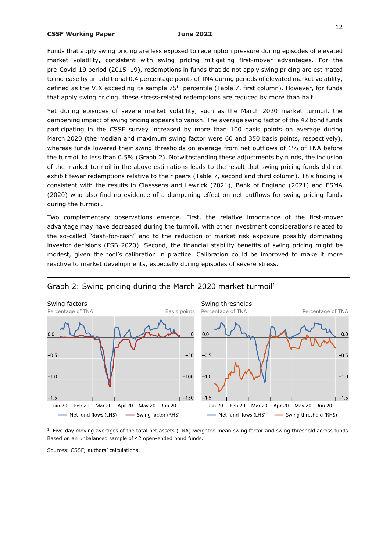Funds that apply swing pricing are less exposed to redemption pressure during episodes of elevated market volatility, consistent with swing pricing mitigating first-mover advantages. For the pre-Covid-19 period (2015–19), redemptions in funds that do not apply swing pricing are estimated to increase by an additional 0.4 percentage points of TNA during periods of elevated market volatility, defined as the VIX exceeding its sample  $75<sup>th</sup>$  percentile (Table 7, first column). However, for funds that apply swing pricing, these stress-related redemptions are reduced by more than half.

Yet during episodes of severe market volatility, such as the March 2020 market turmoil, the dampening impact of swing pricing appears to vanish. The average swing factor of the 42 bond funds participating in the CSSF survey increased by more than 100 basis points on average during March 2020 (the median and maximum swing factor were 60 and 350 basis points, respectively), whereas funds lowered their swing thresholds on average from net outflows of 1% of TNA before the turmoil to less than 0.5% (Graph 2). Notwithstanding these adjustments by funds, the inclusion of the market turmoil in the above estimations leads to the result that swing pricing funds did not exhibit fewer redemptions relative to their peers (Table 7, second and third column). This finding is consistent with the results in Claessens and Lewrick (2021), Bank of England (2021) and ESMA (2020) who also find no evidence of a dampening effect on net outflows for swing pricing funds during the turmoil.

Two complementary observations emerge. First, the relative importance of the first-mover advantage may have decreased during the turmoil, with other investment considerations related to the so-called "dash-for-cash" and to the reduction of market risk exposure possibly dominating investor decisions (FSB 2020). Second, the financial stability benefits of swing pricing might be modest, given the tool's calibration in practice. Calibration could be improved to make it more reactive to market developments, especially during episodes of severe stress.



# Graph 2: Swing pricing during the March 2020 market turmoil<sup>1</sup>

 $1$  Five-day moving averages of the total net assets (TNA)-weighted mean swing factor and swing threshold across funds. Based on an unbalanced sample of 42 open-ended bond funds.

Sources: CSSF; authors' calculations.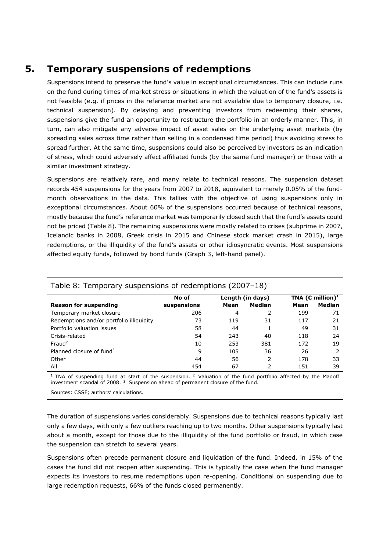# **5. Temporary suspensions of redemptions**

Suspensions intend to preserve the fund's value in exceptional circumstances. This can include runs on the fund during times of market stress or situations in which the valuation of the fund's assets is not feasible (e.g. if prices in the reference market are not available due to temporary closure, i.e. technical suspension). By delaying and preventing investors from redeeming their shares, suspensions give the fund an opportunity to restructure the portfolio in an orderly manner. This, in turn, can also mitigate any adverse impact of asset sales on the underlying asset markets (by spreading sales across time rather than selling in a condensed time period) thus avoiding stress to spread further. At the same time, suspensions could also be perceived by investors as an indication of stress, which could adversely affect affiliated funds (by the same fund manager) or those with a similar investment strategy.

Suspensions are relatively rare, and many relate to technical reasons. The suspension dataset records 454 suspensions for the years from 2007 to 2018, equivalent to merely 0.05% of the fundmonth observations in the data. This tallies with the objective of using suspensions only in exceptional circumstances. About 60% of the suspensions occurred because of technical reasons, mostly because the fund's reference market was temporarily closed such that the fund's assets could not be priced (Table 8). The remaining suspensions were mostly related to crises (subprime in 2007, Icelandic banks in 2008, Greek crisis in 2015 and Chinese stock market crash in 2015), large redemptions, or the illiquidity of the fund's assets or other idiosyncratic events. Most suspensions affected equity funds, followed by bond funds (Graph 3, left-hand panel).

|                                          | No of       | Length (in days) |               | TNA ( $\epsilon$ million) <sup>1</sup> |               |  |  |
|------------------------------------------|-------------|------------------|---------------|----------------------------------------|---------------|--|--|
| <b>Reason for suspending</b>             | suspensions | Mean             | <b>Median</b> | Mean                                   | <b>Median</b> |  |  |
| Temporary market closure                 | 206         | 4                | 2             | 199                                    | 71            |  |  |
| Redemptions and/or portfolio illiquidity | 73          | 119              | 31            | 117                                    | 21            |  |  |
| Portfolio valuation issues               | 58          | 44               |               | 49                                     | 31            |  |  |
| Crisis-related                           | 54          | 243              | 40            | 118                                    | 24            |  |  |
| Final <sup>2</sup>                       | 10          | 253              | 381           | 172                                    | 19            |  |  |
| Planned closure of fund <sup>3</sup>     | 9           | 105              | 36            | 26                                     | 2             |  |  |
| Other                                    | 44          | 56               | 2             | 178                                    | 33            |  |  |
| All                                      | 454         | 67               | 2             | 151                                    | 39            |  |  |

# Table 8: Temporary suspensions of redemptions (2007–18)

 $1$  TNA of suspending fund at start of the suspension. <sup>2</sup> Valuation of the fund portfolio affected by the Madoff investment scandal of 2008.<sup>3</sup> Suspension ahead of permanent closure of the fund.

Sources: CSSF; authors' calculations.

The duration of suspensions varies considerably. Suspensions due to technical reasons typically last only a few days, with only a few outliers reaching up to two months. Other suspensions typically last about a month, except for those due to the illiquidity of the fund portfolio or fraud, in which case the suspension can stretch to several years.

Suspensions often precede permanent closure and liquidation of the fund. Indeed, in 15% of the cases the fund did not reopen after suspending. This is typically the case when the fund manager expects its investors to resume redemptions upon re-opening. Conditional on suspending due to large redemption requests, 66% of the funds closed permanently.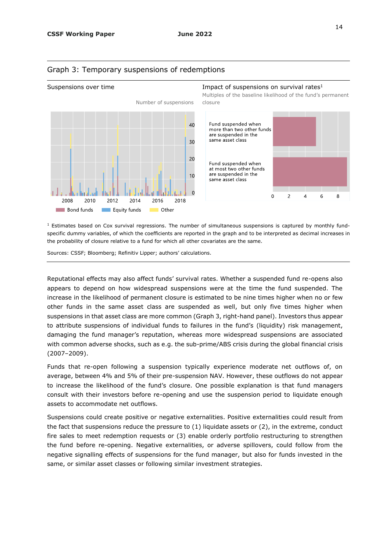

### Graph 3: Temporary suspensions of redemptions

#### Suspensions over time **Impact of suspensions on survival rates**<sup>1</sup>

Multiples of the baseline likelihood of the fund's permanent closure



 $1$  Estimates based on Cox survival regressions. The number of simultaneous suspensions is captured by monthly fundspecific dummy variables, of which the coefficients are reported in the graph and to be interpreted as decimal increases in the probability of closure relative to a fund for which all other covariates are the same.

Sources: CSSF; Bloomberg; Refinitiv Lipper; authors' calculations.

Reputational effects may also affect funds' survival rates. Whether a suspended fund re-opens also appears to depend on how widespread suspensions were at the time the fund suspended. The increase in the likelihood of permanent closure is estimated to be nine times higher when no or few other funds in the same asset class are suspended as well, but only five times higher when suspensions in that asset class are more common (Graph 3, right-hand panel). Investors thus appear to attribute suspensions of individual funds to failures in the fund's (liquidity) risk management, damaging the fund manager's reputation, whereas more widespread suspensions are associated with common adverse shocks, such as e.g. the sub-prime/ABS crisis during the global financial crisis (2007–2009).

Funds that re-open following a suspension typically experience moderate net outflows of, on average, between 4% and 5% of their pre-suspension NAV. However, these outflows do not appear to increase the likelihood of the fund's closure. One possible explanation is that fund managers consult with their investors before re-opening and use the suspension period to liquidate enough assets to accommodate net outflows.

Suspensions could create positive or negative externalities. Positive externalities could result from the fact that suspensions reduce the pressure to  $(1)$  liquidate assets or  $(2)$ , in the extreme, conduct fire sales to meet redemption requests or (3) enable orderly portfolio restructuring to strengthen the fund before re-opening. Negative externalities, or adverse spillovers, could follow from the negative signalling effects of suspensions for the fund manager, but also for funds invested in the same, or similar asset classes or following similar investment strategies.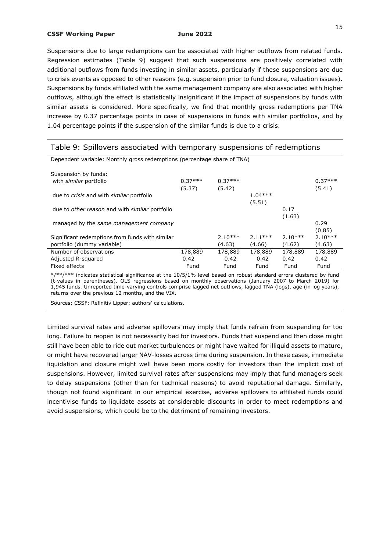Suspensions due to large redemptions can be associated with higher outflows from related funds. Regression estimates (Table 9) suggest that such suspensions are positively correlated with additional outflows from funds investing in similar assets, particularly if these suspensions are due to crisis events as opposed to other reasons (e.g. suspension prior to fund closure, valuation issues). Suspensions by funds affiliated with the same management company are also associated with higher outflows, although the effect is statistically insignificant if the impact of suspensions by funds with similar assets is considered. More specifically, we find that monthly gross redemptions per TNA increase by 0.37 percentage points in case of suspensions in funds with similar portfolios, and by 1.04 percentage points if the suspension of the similar funds is due to a crisis.

| Table 9: Spillovers associated with temporary suspensions of redemptions |           |           |           |           |           |
|--------------------------------------------------------------------------|-----------|-----------|-----------|-----------|-----------|
| Dependent variable: Monthly gross redemptions (percentage share of TNA)  |           |           |           |           |           |
| Suspension by funds:                                                     |           |           |           |           |           |
| with <i>similar</i> portfolio                                            | $0.37***$ | $0.37***$ |           |           | $0.37***$ |
|                                                                          | (5.37)    | (5.42)    |           |           | (5.41)    |
| due to crisis and with similar portfolio                                 |           |           | $1.04***$ |           |           |
|                                                                          |           |           | (5.51)    |           |           |
| due to other reason and with similar portfolio                           |           |           |           | 0.17      |           |
|                                                                          |           |           |           | (1.63)    |           |
| managed by the same management company                                   |           |           |           |           | 0.29      |
|                                                                          |           |           |           |           | (0.85)    |
| Significant redemptions from funds with similar                          |           | $2.10***$ | $2.11***$ | $2.10***$ | $2.10***$ |
| portfolio (dummy variable)                                               |           | (4.63)    | (4.66)    | (4.62)    | (4.63)    |
| Number of observations                                                   | 178,889   | 178,889   | 178,889   | 178,889   | 178,889   |
| Adjusted R-squared                                                       | 0.42      | 0.42      | 0.42      | 0.42      | 0.42      |
| Fixed effects                                                            | Fund      | Fund      | Fund      | Fund      | Fund      |

\*/\*\*/\*\*\* indicates statistical significance at the 10/5/1% level based on robust standard errors clustered by fund (t-values in parentheses). OLS regressions based on monthly observations (January 2007 to March 2019) for 1,945 funds. Unreported time-varying controls comprise lagged net outflows, lagged TNA (logs), age (in log years), returns over the previous 12 months, and the VIX.

Sources: CSSF; Refinitiv Lipper; authors' calculations.

Limited survival rates and adverse spillovers may imply that funds refrain from suspending for too long. Failure to reopen is not necessarily bad for investors. Funds that suspend and then close might still have been able to ride out market turbulences or might have waited for illiquid assets to mature, or might have recovered larger NAV-losses across time during suspension. In these cases, immediate liquidation and closure might well have been more costly for investors than the implicit cost of suspensions. However, limited survival rates after suspensions may imply that fund managers seek to delay suspensions (other than for technical reasons) to avoid reputational damage. Similarly, though not found significant in our empirical exercise, adverse spillovers to affiliated funds could incentivise funds to liquidate assets at considerable discounts in order to meet redemptions and avoid suspensions, which could be to the detriment of remaining investors.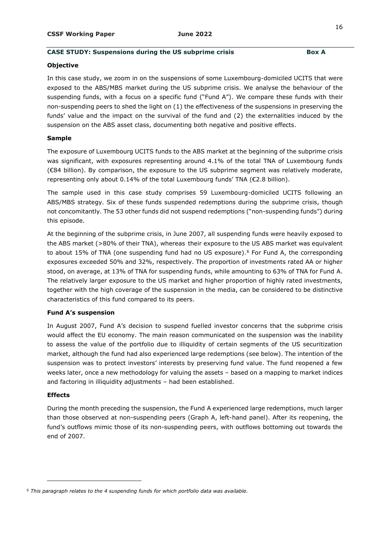### **CASE STUDY: Suspensions during the US subprime crisis Box A**

#### **Objective**

In this case study, we zoom in on the suspensions of some Luxembourg-domiciled UCITS that were exposed to the ABS/MBS market during the US subprime crisis. We analyse the behaviour of the suspending funds, with a focus on a specific fund ("Fund A"). We compare these funds with their non-suspending peers to shed the light on (1) the effectiveness of the suspensions in preserving the funds' value and the impact on the survival of the fund and (2) the externalities induced by the suspension on the ABS asset class, documenting both negative and positive effects.

#### **Sample**

The exposure of Luxembourg UCITS funds to the ABS market at the beginning of the subprime crisis was significant, with exposures representing around 4.1% of the total TNA of Luxembourg funds (€84 billion). By comparison, the exposure to the US subprime segment was relatively moderate, representing only about 0.14% of the total Luxembourg funds' TNA (€2.8 billion).

The sample used in this case study comprises 59 Luxembourg-domiciled UCITS following an ABS/MBS strategy. Six of these funds suspended redemptions during the subprime crisis, though not concomitantly. The 53 other funds did not suspend redemptions ("non-suspending funds") during this episode.

At the beginning of the subprime crisis, in June 2007, all suspending funds were heavily exposed to the ABS market (>80% of their TNA), whereas their exposure to the US ABS market was equivalent to about 15% of TNA (one suspending fund had no US exposure).<sup>6</sup> For Fund A, the corresponding exposures exceeded 50% and 32%, respectively. The proportion of investments rated AA or higher stood, on average, at 13% of TNA for suspending funds, while amounting to 63% of TNA for Fund A. The relatively larger exposure to the US market and higher proportion of highly rated investments, together with the high coverage of the suspension in the media, can be considered to be distinctive characteristics of this fund compared to its peers.

### **Fund A's suspension**

In August 2007, Fund A's decision to suspend fuelled investor concerns that the subprime crisis would affect the EU economy. The main reason communicated on the suspension was the inability to assess the value of the portfolio due to illiquidity of certain segments of the US securitization market, although the fund had also experienced large redemptions (see below). The intention of the suspension was to protect investors' interests by preserving fund value. The fund reopened a few weeks later, once a new methodology for valuing the assets – based on a mapping to market indices and factoring in illiquidity adjustments – had been established.

### **Effects**

-

During the month preceding the suspension, the Fund A experienced large redemptions, much larger than those observed at non-suspending peers (Graph A, left-hand panel). After its reopening, the fund's outflows mimic those of its non-suspending peers, with outflows bottoming out towards the end of 2007.

*<sup>6</sup> This paragraph relates to the 4 suspending funds for which portfolio data was available.*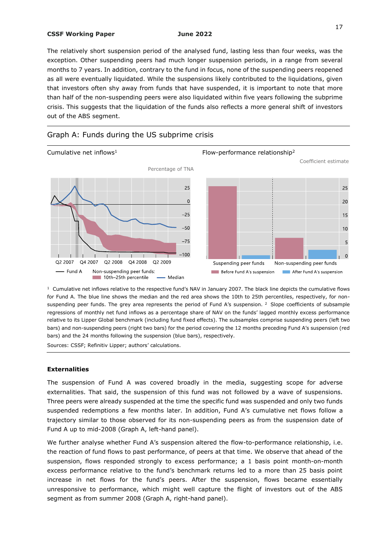The relatively short suspension period of the analysed fund, lasting less than four weeks, was the exception. Other suspending peers had much longer suspension periods, in a range from several months to 7 years. In addition, contrary to the fund in focus, none of the suspending peers reopened as all were eventually liquidated. While the suspensions likely contributed to the liquidations, given that investors often shy away from funds that have suspended, it is important to note that more than half of the non-suspending peers were also liquidated within five years following the subprime crisis. This suggests that the liquidation of the funds also reflects a more general shift of investors out of the ABS segment.



# Graph A: Funds during the US subprime crisis

 $1$  Cumulative net inflows relative to the respective fund's NAV in January 2007. The black line depicts the cumulative flows for Fund A. The blue line shows the median and the red area shows the 10th to 25th percentiles, respectively, for nonsuspending peer funds. The grey area represents the period of Fund A's suspension. <sup>2</sup> Slope coefficients of subsample regressions of monthly net fund inflows as a percentage share of NAV on the funds' lagged monthly excess performance relative to its Lipper Global benchmark (including fund fixed effects). The subsamples comprise suspending peers (left two bars) and non-suspending peers (right two bars) for the period covering the 12 months preceding Fund A's suspension (red bars) and the 24 months following the suspension (blue bars), respectively.

Sources: CSSF; Refinitiv Lipper; authors' calculations.

#### **Externalities**

The suspension of Fund A was covered broadly in the media, suggesting scope for adverse externalities. That said, the suspension of this fund was not followed by a wave of suspensions. Three peers were already suspended at the time the specific fund was suspended and only two funds suspended redemptions a few months later. In addition, Fund A's cumulative net flows follow a trajectory similar to those observed for its non-suspending peers as from the suspension date of Fund A up to mid-2008 (Graph A, left-hand panel).

We further analyse whether Fund A's suspension altered the flow-to-performance relationship, i.e. the reaction of fund flows to past performance, of peers at that time. We observe that ahead of the suspension, flows responded strongly to excess performance; a 1 basis point month-on-month excess performance relative to the fund's benchmark returns led to a more than 25 basis point increase in net flows for the fund's peers. After the suspension, flows became essentially unresponsive to performance, which might well capture the flight of investors out of the ABS segment as from summer 2008 (Graph A, right-hand panel).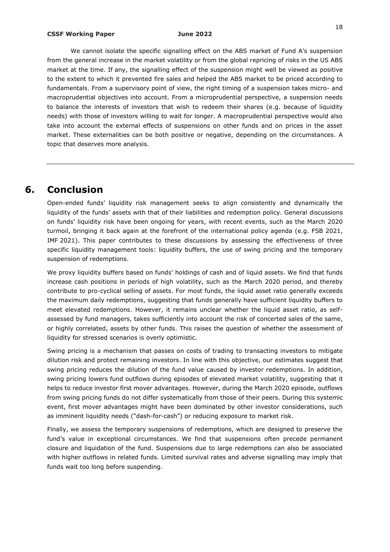We cannot isolate the specific signalling effect on the ABS market of Fund A's suspension from the general increase in the market volatility or from the global repricing of risks in the US ABS market at the time. If any, the signalling effect of the suspension might well be viewed as positive to the extent to which it prevented fire sales and helped the ABS market to be priced according to fundamentals. From a supervisory point of view, the right timing of a suspension takes micro- and macroprudential objectives into account. From a microprudential perspective, a suspension needs to balance the interests of investors that wish to redeem their shares (e.g. because of liquidity needs) with those of investors willing to wait for longer. A macroprudential perspective would also take into account the external effects of suspensions on other funds and on prices in the asset market. These externalities can be both positive or negative, depending on the circumstances. A topic that deserves more analysis.

# **6. Conclusion**

Open-ended funds' liquidity risk management seeks to align consistently and dynamically the liquidity of the funds' assets with that of their liabilities and redemption policy. General discussions on funds' liquidity risk have been ongoing for years, with recent events, such as the March 2020 turmoil, bringing it back again at the forefront of the international policy agenda (e.g. FSB 2021, IMF 2021). This paper contributes to these discussions by assessing the effectiveness of three specific liquidity management tools: liquidity buffers, the use of swing pricing and the temporary suspension of redemptions.

We proxy liquidity buffers based on funds' holdings of cash and of liquid assets. We find that funds increase cash positions in periods of high volatility, such as the March 2020 period, and thereby contribute to pro-cyclical selling of assets. For most funds, the liquid asset ratio generally exceeds the maximum daily redemptions, suggesting that funds generally have sufficient liquidity buffers to meet elevated redemptions. However, it remains unclear whether the liquid asset ratio, as selfassessed by fund managers, takes sufficiently into account the risk of concerted sales of the same, or highly correlated, assets by other funds. This raises the question of whether the assessment of liquidity for stressed scenarios is overly optimistic.

Swing pricing is a mechanism that passes on costs of trading to transacting investors to mitigate dilution risk and protect remaining investors. In line with this objective, our estimates suggest that swing pricing reduces the dilution of the fund value caused by investor redemptions. In addition, swing pricing lowers fund outflows during episodes of elevated market volatility, suggesting that it helps to reduce investor first mover advantages. However, during the March 2020 episode, outflows from swing pricing funds do not differ systematically from those of their peers. During this systemic event, first mover advantages might have been dominated by other investor considerations, such as imminent liquidity needs ("dash-for-cash") or reducing exposure to market risk.

Finally, we assess the temporary suspensions of redemptions, which are designed to preserve the fund's value in exceptional circumstances. We find that suspensions often precede permanent closure and liquidation of the fund. Suspensions due to large redemptions can also be associated with higher outflows in related funds. Limited survival rates and adverse signalling may imply that funds wait too long before suspending.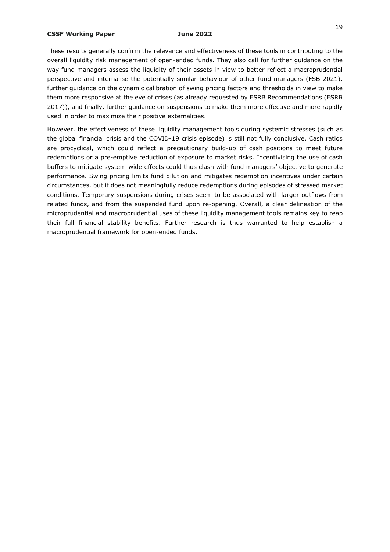These results generally confirm the relevance and effectiveness of these tools in contributing to the overall liquidity risk management of open-ended funds. They also call for further guidance on the way fund managers assess the liquidity of their assets in view to better reflect a macroprudential perspective and internalise the potentially similar behaviour of other fund managers (FSB 2021), further guidance on the dynamic calibration of swing pricing factors and thresholds in view to make them more responsive at the eve of crises (as already requested by ESRB Recommendations (ESRB 2017)), and finally, further guidance on suspensions to make them more effective and more rapidly used in order to maximize their positive externalities.

However, the effectiveness of these liquidity management tools during systemic stresses (such as the global financial crisis and the COVID-19 crisis episode) is still not fully conclusive. Cash ratios are procyclical, which could reflect a precautionary build-up of cash positions to meet future redemptions or a pre-emptive reduction of exposure to market risks. Incentivising the use of cash buffers to mitigate system-wide effects could thus clash with fund managers' objective to generate performance. Swing pricing limits fund dilution and mitigates redemption incentives under certain circumstances, but it does not meaningfully reduce redemptions during episodes of stressed market conditions. Temporary suspensions during crises seem to be associated with larger outflows from related funds, and from the suspended fund upon re-opening. Overall, a clear delineation of the microprudential and macroprudential uses of these liquidity management tools remains key to reap their full financial stability benefits. Further research is thus warranted to help establish a macroprudential framework for open-ended funds.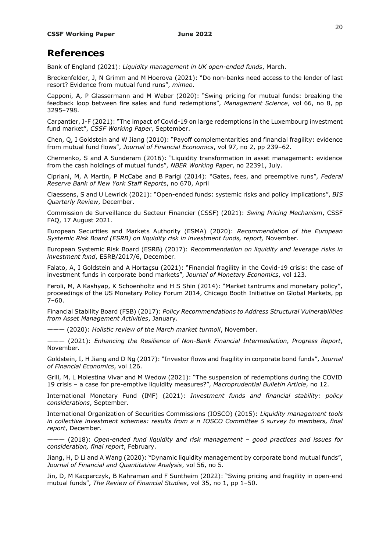# **References**

Bank of England (2021): *Liquidity management in UK open-ended funds*, March.

Breckenfelder, J, N Grimm and M Hoerova (2021): "Do non-banks need access to the lender of last resort? Evidence from mutual fund runs", *mimeo*.

Capponi, A, P Glassermann and M Weber (2020): "Swing pricing for mutual funds: breaking the feedback loop between fire sales and fund redemptions", *Management Science*, vol 66, no 8, pp 3295–798.

Carpantier, J-F (2021): "The impact of Covid-19 on large redemptions in the Luxembourg investment fund market", *CSSF Working Paper*, September.

Chen, Q, I Goldstein and W Jiang (2010): "Payoff complementarities and financial fragility: evidence from mutual fund flows", *Journal of Financial Economics*, vol 97, no 2, pp 239–62.

Chernenko, S and A Sunderam (2016): "Liquidity transformation in asset management: evidence from the cash holdings of mutual funds", *NBER Working Paper*, no 22391, July.

Cipriani, M, A Martin, P McCabe and B Parigi (2014): "Gates, fees, and preemptive runs", *Federal Reserve Bank of New York Staff Report*s, no 670, April

Claessens, S and U Lewrick (2021): "Open-ended funds: systemic risks and policy implications", *BIS Quarterly Review*, December.

Commission de Surveillance du Secteur Financier (CSSF) (2021): *Swing Pricing Mechanism*, CSSF FAQ, 17 August 2021.

European Securities and Markets Authority (ESMA) (2020): *Recommendation of the European Systemic Risk Board (ESRB) on liquidity risk in investment funds, report,* November.

European Systemic Risk Board (ESRB) (2017): *Recommendation on liquidity and leverage risks in investment fund*, ESRB/2017/6, December.

Falato, A, I Goldstein and A Hortaçsu (2021): "Financial fragility in the Covid-19 crisis: the case of investment funds in corporate bond markets", *Journal of Monetary Economics*, vol 123.

Feroli, M, A Kashyap, K Schoenholtz and H S Shin (2014): "Market tantrums and monetary policy", proceedings of the US Monetary Policy Forum 2014, Chicago Booth Initiative on Global Markets, pp 7–60.

Financial Stability Board (FSB) (2017): *Policy Recommendations to Address Structural Vulnerabilities from Asset Management Activities*, January.

——— (2020): *Holistic review of the March market turmoil*, November.

——— (2021): *Enhancing the Resilience of Non-Bank Financial Intermediation, Progress Report*, November.

Goldstein, I, H Jiang and D Ng (2017): "Investor flows and fragility in corporate bond funds", *Journal of Financial Economics*, vol 126.

Grill, M, L Molestina Vivar and M Wedow (2021): "The suspension of redemptions during the COVID 19 crisis – a case for pre-emptive liquidity measures?", *Macroprudential Bulletin Article*, no 12.

International Monetary Fund (IMF) (2021): *Investment funds and financial stability: policy considerations*, September.

International Organization of Securities Commissions (IOSCO) (2015): *Liquidity management tools in collective investment schemes: results from a n IOSCO Committee 5 survey to members, final report*, December.

——— (2018): *Open-ended fund liquidity and risk management – good practices and issues for consideration, final report*, February.

Jiang, H, D Li and A Wang (2020): "Dynamic liquidity management by corporate bond mutual funds", *Journal of Financial and Quantitative Analysis*, vol 56, no 5.

Jin, D, M Kacperczyk, B Kahraman and F Suntheim (2022): "Swing pricing and fragility in open-end mutual funds", *The Review of Financial Studies*, vol 35, no 1, pp 1–50.